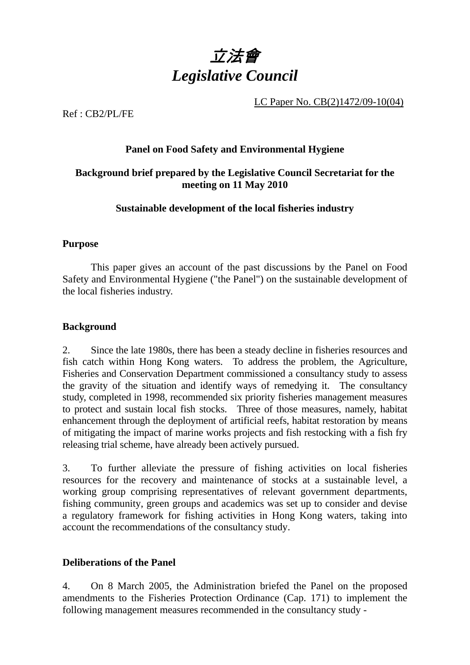

LC Paper No. CB(2)1472/09-10(04)

Ref : CB2/PL/FE

## **Panel on Food Safety and Environmental Hygiene**

# **Background brief prepared by the Legislative Council Secretariat for the meeting on 11 May 2010**

### **Sustainable development of the local fisheries industry**

### **Purpose**

This paper gives an account of the past discussions by the Panel on Food Safety and Environmental Hygiene ("the Panel") on the sustainable development of the local fisheries industry.

### **Background**

2. Since the late 1980s, there has been a steady decline in fisheries resources and fish catch within Hong Kong waters. To address the problem, the Agriculture, Fisheries and Conservation Department commissioned a consultancy study to assess the gravity of the situation and identify ways of remedying it. The consultancy study, completed in 1998, recommended six priority fisheries management measures to protect and sustain local fish stocks. Three of those measures, namely, habitat enhancement through the deployment of artificial reefs, habitat restoration by means of mitigating the impact of marine works projects and fish restocking with a fish fry releasing trial scheme, have already been actively pursued.

3. To further alleviate the pressure of fishing activities on local fisheries resources for the recovery and maintenance of stocks at a sustainable level, a working group comprising representatives of relevant government departments, fishing community, green groups and academics was set up to consider and devise a regulatory framework for fishing activities in Hong Kong waters, taking into account the recommendations of the consultancy study.

# **Deliberations of the Panel**

4. On 8 March 2005, the Administration briefed the Panel on the proposed amendments to the Fisheries Protection Ordinance (Cap. 171) to implement the following management measures recommended in the consultancy study -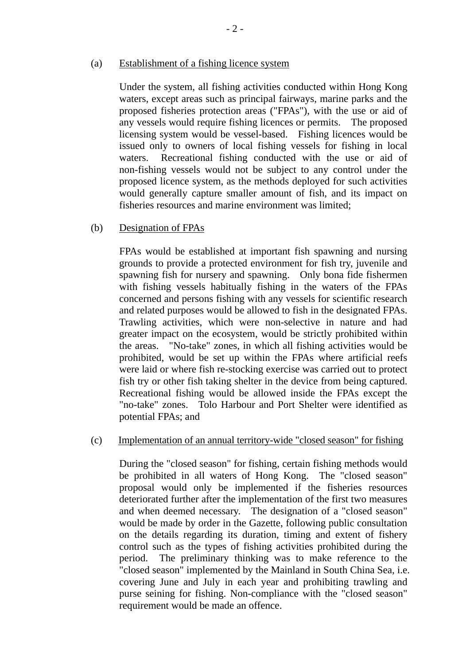#### (a) Establishment of a fishing licence system

Under the system, all fishing activities conducted within Hong Kong waters, except areas such as principal fairways, marine parks and the proposed fisheries protection areas ("FPAs"), with the use or aid of any vessels would require fishing licences or permits. The proposed licensing system would be vessel-based. Fishing licences would be issued only to owners of local fishing vessels for fishing in local waters. Recreational fishing conducted with the use or aid of non-fishing vessels would not be subject to any control under the proposed licence system, as the methods deployed for such activities would generally capture smaller amount of fish, and its impact on fisheries resources and marine environment was limited;

#### (b) Designation of FPAs

FPAs would be established at important fish spawning and nursing grounds to provide a protected environment for fish try, juvenile and spawning fish for nursery and spawning. Only bona fide fishermen with fishing vessels habitually fishing in the waters of the FPAs concerned and persons fishing with any vessels for scientific research and related purposes would be allowed to fish in the designated FPAs. Trawling activities, which were non-selective in nature and had greater impact on the ecosystem, would be strictly prohibited within the areas. "No-take" zones, in which all fishing activities would be prohibited, would be set up within the FPAs where artificial reefs were laid or where fish re-stocking exercise was carried out to protect fish try or other fish taking shelter in the device from being captured. Recreational fishing would be allowed inside the FPAs except the "no-take" zones. Tolo Harbour and Port Shelter were identified as potential FPAs; and

#### (c) Implementation of an annual territory-wide "closed season" for fishing

During the "closed season" for fishing, certain fishing methods would be prohibited in all waters of Hong Kong. The "closed season" proposal would only be implemented if the fisheries resources deteriorated further after the implementation of the first two measures and when deemed necessary. The designation of a "closed season" would be made by order in the Gazette, following public consultation on the details regarding its duration, timing and extent of fishery control such as the types of fishing activities prohibited during the period. The preliminary thinking was to make reference to the "closed season" implemented by the Mainland in South China Sea, i.e. covering June and July in each year and prohibiting trawling and purse seining for fishing. Non-compliance with the "closed season" requirement would be made an offence.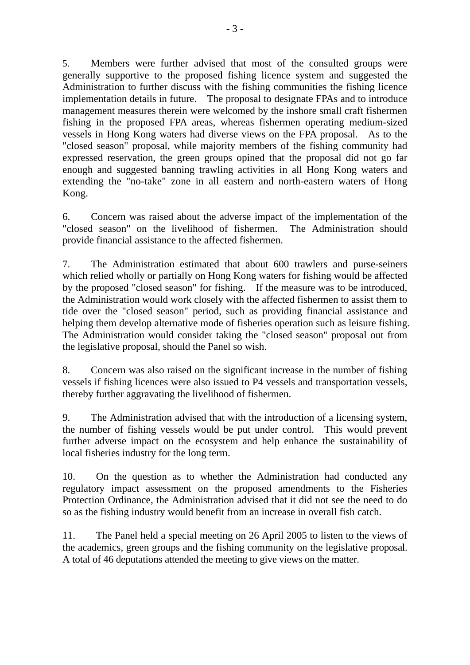5. Members were further advised that most of the consulted groups were generally supportive to the proposed fishing licence system and suggested the Administration to further discuss with the fishing communities the fishing licence implementation details in future. The proposal to designate FPAs and to introduce management measures therein were welcomed by the inshore small craft fishermen fishing in the proposed FPA areas, whereas fishermen operating medium-sized vessels in Hong Kong waters had diverse views on the FPA proposal. As to the "closed season" proposal, while majority members of the fishing community had expressed reservation, the green groups opined that the proposal did not go far enough and suggested banning trawling activities in all Hong Kong waters and extending the "no-take" zone in all eastern and north-eastern waters of Hong Kong.

6. Concern was raised about the adverse impact of the implementation of the "closed season" on the livelihood of fishermen. The Administration should provide financial assistance to the affected fishermen.

7. The Administration estimated that about 600 trawlers and purse-seiners which relied wholly or partially on Hong Kong waters for fishing would be affected by the proposed "closed season" for fishing. If the measure was to be introduced, the Administration would work closely with the affected fishermen to assist them to tide over the "closed season" period, such as providing financial assistance and helping them develop alternative mode of fisheries operation such as leisure fishing. The Administration would consider taking the "closed season" proposal out from the legislative proposal, should the Panel so wish.

8. Concern was also raised on the significant increase in the number of fishing vessels if fishing licences were also issued to P4 vessels and transportation vessels, thereby further aggravating the livelihood of fishermen.

9. The Administration advised that with the introduction of a licensing system, the number of fishing vessels would be put under control. This would prevent further adverse impact on the ecosystem and help enhance the sustainability of local fisheries industry for the long term.

10. On the question as to whether the Administration had conducted any regulatory impact assessment on the proposed amendments to the Fisheries Protection Ordinance, the Administration advised that it did not see the need to do so as the fishing industry would benefit from an increase in overall fish catch.

11. The Panel held a special meeting on 26 April 2005 to listen to the views of the academics, green groups and the fishing community on the legislative proposal. A total of 46 deputations attended the meeting to give views on the matter.